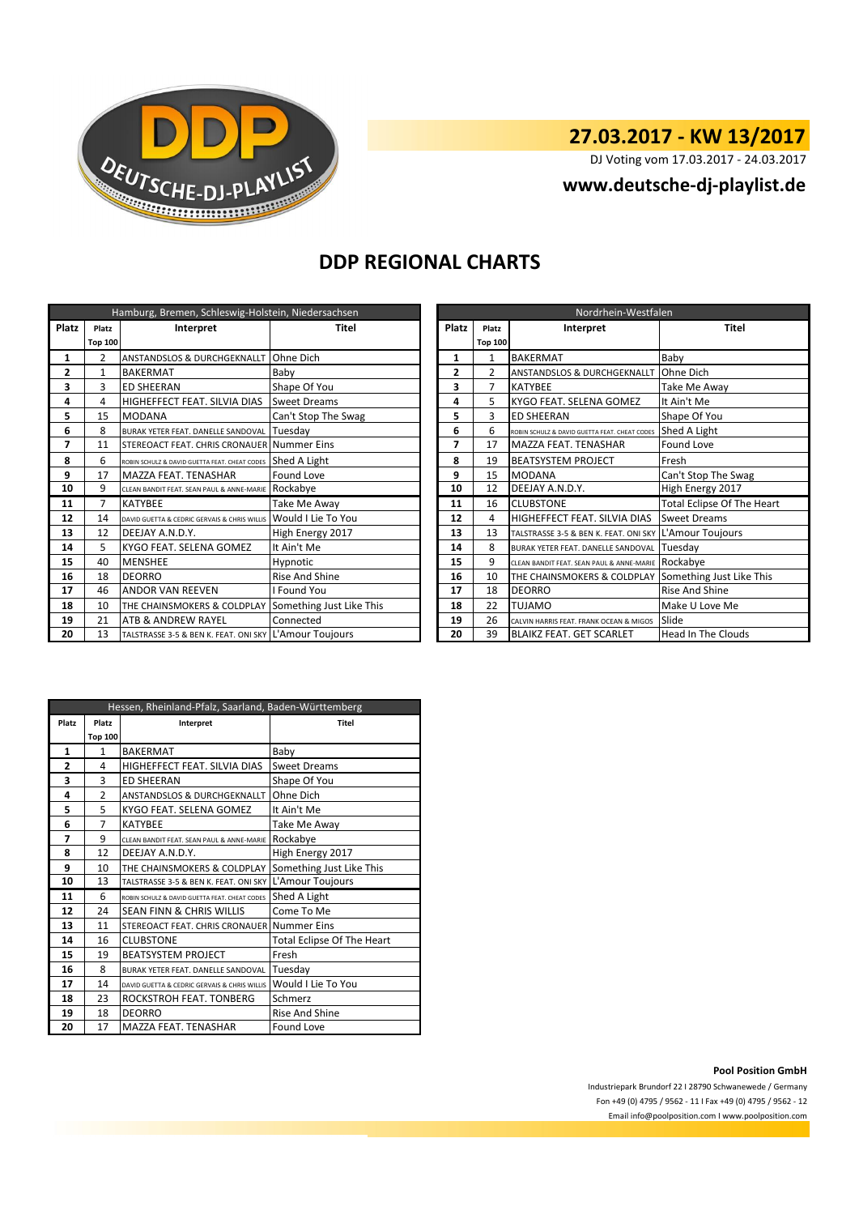

# **27.03.2017 - KW 13/2017**

DJ Voting vom 17.03.2017 - 24.03.2017

**www.deutsche-dj-playlist.de**

#### **DDP REGIONAL CHARTS**

| Hamburg, Bremen, Schleswig-Holstein, Niedersachsen |                |                                                        |                          |  | Nordrhein-Westfalen |                |                                                        |                                   |
|----------------------------------------------------|----------------|--------------------------------------------------------|--------------------------|--|---------------------|----------------|--------------------------------------------------------|-----------------------------------|
| Platz                                              | Platz          | Interpret                                              | Platz<br>Titel           |  | Platz               | Interpret      | <b>Titel</b>                                           |                                   |
|                                                    | <b>Top 100</b> |                                                        |                          |  |                     | <b>Top 100</b> |                                                        |                                   |
| 1                                                  | 2              | ANSTANDSLOS & DURCHGEKNALLT                            | Ohne Dich                |  | 1                   | 1              | <b>BAKERMAT</b>                                        | Baby                              |
| 2                                                  | 1              | <b>BAKERMAT</b>                                        | Baby                     |  | 2                   | $\overline{2}$ | ANSTANDSLOS & DURCHGEKNALLT                            | Ohne Dich                         |
| 3                                                  | 3              | <b>ED SHEERAN</b>                                      | Shape Of You             |  | 3                   | 7              | <b>KATYBEE</b>                                         | Take Me Away                      |
| 4                                                  | 4              | HIGHEFFECT FEAT. SILVIA DIAS                           | <b>Sweet Dreams</b>      |  | 4                   | 5              | KYGO FEAT. SELENA GOMEZ                                | It Ain't Me                       |
| 5                                                  | 15             | <b>MODANA</b>                                          | Can't Stop The Swag      |  | 5                   | 3              | <b>ED SHEERAN</b>                                      | Shape Of You                      |
| 6                                                  | 8              | BURAK YETER FEAT. DANELLE SANDOVAL                     | Tuesday                  |  | 6                   | 6              | ROBIN SCHULZ & DAVID GUETTA FEAT. CHEAT CODES          | Shed A Light                      |
| 7                                                  | 11             | STEREOACT FEAT. CHRIS CRONAUER Nummer Eins             |                          |  | 7                   | 17             | <b>MAZZA FEAT. TENASHAR</b>                            | Found Love                        |
| 8                                                  | 6              | ROBIN SCHULZ & DAVID GUETTA FEAT, CHEAT CODES          | Shed A Light             |  | 8                   | 19             | <b>BEATSYSTEM PROJECT</b>                              | Fresh                             |
| 9                                                  | 17             | MAZZA FEAT. TENASHAR                                   | <b>Found Love</b>        |  | 9                   | 15             | <b>MODANA</b>                                          | Can't Stop The Swag               |
| 10                                                 | 9              | CLEAN BANDIT FEAT. SEAN PAUL & ANNE-MARIE ROCKabye     |                          |  | 10                  | 12             | DEEJAY A.N.D.Y.                                        | High Energy 2017                  |
| 11                                                 |                | <b>KATYBEE</b>                                         | Take Me Away             |  | 11                  | 16             | <b>CLUBSTONE</b>                                       | <b>Total Eclipse Of The Heart</b> |
| 12                                                 | 14             | DAVID GUETTA & CEDRIC GERVAIS & CHRIS WILLIS           | Would I Lie To You       |  | 12                  | 4              | HIGHEFFECT FEAT. SILVIA DIAS                           | <b>Sweet Dreams</b>               |
| 13                                                 | 12             | DEEJAY A.N.D.Y.                                        | High Energy 2017         |  | 13                  | 13             | TALSTRASSE 3-5 & BEN K. FEAT. ONI SKY L'Amour Toujours |                                   |
| 14                                                 | 5              | KYGO FEAT. SELENA GOMEZ                                | It Ain't Me              |  | 14                  | 8              | BURAK YETER FEAT. DANELLE SANDOVAL                     | Tuesdav                           |
| 15                                                 | 40             | <b>MENSHEE</b>                                         | Hypnotic                 |  | 15                  | 9              | CLEAN BANDIT FEAT. SEAN PAUL & ANNE-MARIE ROCKabye     |                                   |
| 16                                                 | 18             | <b>DEORRO</b>                                          | <b>Rise And Shine</b>    |  | 16                  | 10             | THE CHAINSMOKERS & COLDPLAY Something Just Like This   |                                   |
| 17                                                 | 46             | <b>ANDOR VAN REEVEN</b>                                | I Found You              |  | 17                  | 18             | <b>DEORRO</b>                                          | <b>Rise And Shine</b>             |
| 18                                                 | 10             | THE CHAINSMOKERS & COLDPLAY                            | Something Just Like This |  | 18                  | 22             | <b>TUJAMO</b>                                          | Make U Love Me                    |
| 19                                                 | 21             | ATB & ANDREW RAYEL                                     | Connected                |  | 19                  | 26             | CALVIN HARRIS FEAT. FRANK OCEAN & MIGOS                | Slide                             |
| 20                                                 | 13             | TALSTRASSE 3-5 & BEN K. FEAT. ONI SKY L'Amour Toujours |                          |  | 20                  | 39             | <b>BLAIKZ FEAT. GET SCARLET</b>                        | <b>Head In The Clouds</b>         |

| Nordrhein-Westfalen |                |                                               |                                   |  |  |
|---------------------|----------------|-----------------------------------------------|-----------------------------------|--|--|
| Platz               | Platz          | Interpret                                     | Titel                             |  |  |
|                     | <b>Top 100</b> |                                               |                                   |  |  |
| 1                   | $\mathbf{1}$   | <b>BAKERMAT</b>                               | Baby                              |  |  |
| $\overline{2}$      | $\overline{2}$ | ANSTANDSLOS & DURCHGEKNALLT                   | Ohne Dich                         |  |  |
| 3                   | 7              | <b>KATYBEE</b>                                | Take Me Away                      |  |  |
| 4                   | 5              | KYGO FEAT. SELENA GOMEZ                       | It Ain't Me                       |  |  |
| 5                   | 3              | <b>ED SHEERAN</b>                             | Shape Of You                      |  |  |
| 6                   | 6              | ROBIN SCHULZ & DAVID GUETTA FEAT, CHEAT CODES | Shed A Light                      |  |  |
| 7                   | 17             | MAZZA FEAT. TENASHAR                          | Found Love                        |  |  |
| 8                   | 19             | <b>BEATSYSTEM PROJECT</b>                     | Fresh                             |  |  |
| 9                   | 15             | <b>MODANA</b>                                 | Can't Stop The Swag               |  |  |
| 10                  | 12             | DEEJAY A.N.D.Y.                               | High Energy 2017                  |  |  |
| 11                  | 16             | <b>CLUBSTONE</b>                              | <b>Total Eclipse Of The Heart</b> |  |  |
| 12                  | 4              | HIGHEFFECT FEAT. SILVIA DIAS                  | <b>Sweet Dreams</b>               |  |  |
| 13                  | 13             | TALSTRASSE 3-5 & BEN K. FEAT. ONI SKY         | L'Amour Toujours                  |  |  |
| 14                  | 8              | BURAK YETER FEAT. DANELLE SANDOVAL            | Tuesday                           |  |  |
| 15                  | 9              | CLEAN BANDIT FEAT. SEAN PAUL & ANNE-MARIE     | Rockabye                          |  |  |
| 16                  | 10             | THE CHAINSMOKERS & COLDPLAY                   | Something Just Like This          |  |  |
| 17                  | 18             | <b>DEORRO</b>                                 | <b>Rise And Shine</b>             |  |  |
| 18                  | 22             | <b>TUJAMO</b>                                 | Make U Love Me                    |  |  |
| 19                  | 26             | CALVIN HARRIS FEAT, FRANK OCEAN & MIGOS       | Slide                             |  |  |
| 20                  | 39             | <b>BLAIKZ FEAT. GET SCARLET</b>               | Head In The Clouds                |  |  |

| Hessen, Rheinland-Pfalz, Saarland, Baden-Württemberg |                    |                                               |                            |  |  |
|------------------------------------------------------|--------------------|-----------------------------------------------|----------------------------|--|--|
| Platz                                                | Platz<br>Interpret |                                               | Titel                      |  |  |
|                                                      | <b>Top 100</b>     |                                               |                            |  |  |
| 1                                                    | $\mathbf{1}$       | <b>BAKERMAT</b>                               | Baby                       |  |  |
| $\overline{2}$                                       | 4                  | HIGHEFFECT FEAT. SILVIA DIAS                  | <b>Sweet Dreams</b>        |  |  |
| 3                                                    | 3                  | <b>ED SHEERAN</b>                             | Shape Of You               |  |  |
| 4                                                    | $\overline{2}$     | ANSTANDSLOS & DURCHGEKNALLT                   | Ohne Dich                  |  |  |
| 5                                                    | 5                  | KYGO FEAT. SELENA GOMEZ                       | It Ain't Me                |  |  |
| 6                                                    | 7                  | <b>KATYBEE</b>                                | Take Me Away               |  |  |
| 7                                                    | 9                  | CLEAN BANDIT FEAT. SEAN PAUL & ANNE-MARIE     | Rockabye                   |  |  |
| 8                                                    | 12                 | DEEJAY A.N.D.Y.                               | High Energy 2017           |  |  |
| 9                                                    | 10                 | THE CHAINSMOKERS & COLDPLAY                   | Something Just Like This   |  |  |
| 10                                                   | 13                 | TALSTRASSE 3-5 & BEN K. FEAT. ONI SKY         | L'Amour Toujours           |  |  |
| 11                                                   | 6                  | ROBIN SCHULZ & DAVID GUETTA FEAT, CHEAT CODES | Shed A Light               |  |  |
| 12                                                   | 24                 | SEAN FINN & CHRIS WILLIS                      | Come To Me                 |  |  |
| 13                                                   | 11                 | STEREOACT FEAT. CHRIS CRONAUER Nummer Eins    |                            |  |  |
| 14                                                   | 16                 | <b>CLUBSTONE</b>                              | Total Eclipse Of The Heart |  |  |
| 15                                                   | 19                 | <b>BEATSYSTEM PROJECT</b>                     | Fresh                      |  |  |
| 16                                                   | 8                  | BURAK YETER FEAT. DANELLE SANDOVAL            | Tuesday                    |  |  |
| 17                                                   | 14                 | DAVID GUETTA & CEDRIC GERVAIS & CHRIS WILLIS  | Would I Lie To You         |  |  |
| 18                                                   | 23                 | ROCKSTROH FEAT. TONBERG                       | Schmerz                    |  |  |
| 19                                                   | 18                 | <b>DEORRO</b>                                 | <b>Rise And Shine</b>      |  |  |
| 20                                                   | 17                 | MAZZA FEAT. TENASHAR                          | Found Love                 |  |  |

**Pool Position GmbH**

Industriepark Brundorf 22 I 28790 Schwanewede / Germany Fon +49 (0) 4795 / 9562 - 11 I Fax +49 (0) 4795 / 9562 - 12 Email info@poolposition.com I www.poolposition.com